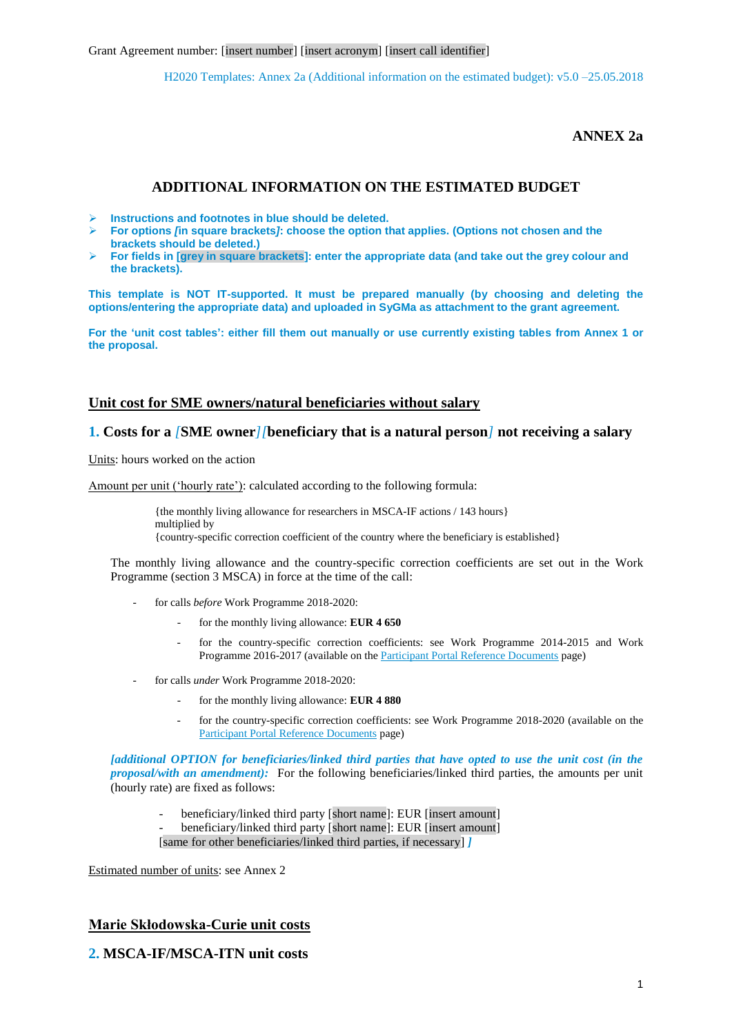**ANNEX 2a**

# **ADDITIONAL INFORMATION ON THE ESTIMATED BUDGET**

- **Instructions and footnotes in blue should be deleted.**
- **For options** *[***in square brackets***]***: choose the option that applies. (Options not chosen and the brackets should be deleted.)**
- **For fields in [grey in square brackets]: enter the appropriate data (and take out the grey colour and the brackets).**

**This template is NOT IT-supported. It must be prepared manually (by choosing and deleting the options/entering the appropriate data) and uploaded in SyGMa as attachment to the grant agreement.** 

**For the 'unit cost tables': either fill them out manually or use currently existing tables from Annex 1 or the proposal.**

# **Unit cost for SME owners/natural beneficiaries without salary**

# **1. Costs for a** *[***SME owner***][***beneficiary that is a natural person***]* **not receiving a salary**

Units: hours worked on the action

Amount per unit ('hourly rate'): calculated according to the following formula:

{the monthly living allowance for researchers in MSCA-IF actions / 143 hours} multiplied by {country-specific correction coefficient of the country where the beneficiary is established}

The monthly living allowance and the country-specific correction coefficients are set out in the Work Programme (section 3 MSCA) in force at the time of the call:

- for calls *before* Work Programme 2018-2020:
	- for the monthly living allowance: **EUR 4 650**
	- for the country-specific correction coefficients: see Work Programme 2014-2015 and Work Programme 2016-2017 (available on the *Participant Portal Reference Documents page*)
- for calls *under* Work Programme 2018-2020:
	- for the monthly living allowance: **EUR 4 880**
	- for the country-specific correction coefficients: see Work Programme 2018-2020 (available on the [Participant Portal Reference Documents](http://ec.europa.eu/research/participants/portal/desktop/en/funding/reference_docs.html#h2020-work-programmes-2018-20) page)

*[additional OPTION for beneficiaries/linked third parties that have opted to use the unit cost (in the proposal/with an amendment*): For the following beneficiaries/linked third parties, the amounts per unit (hourly rate) are fixed as follows:

- beneficiary/linked third party [short name]: EUR [insert amount]
- beneficiary/linked third party [short name]: EUR [insert amount]
- [same for other beneficiaries/linked third parties, if necessary] *]*

Estimated number of units: see Annex 2

# **Marie Skłodowska-Curie unit costs**

# **2. MSCA-IF/MSCA-ITN unit costs**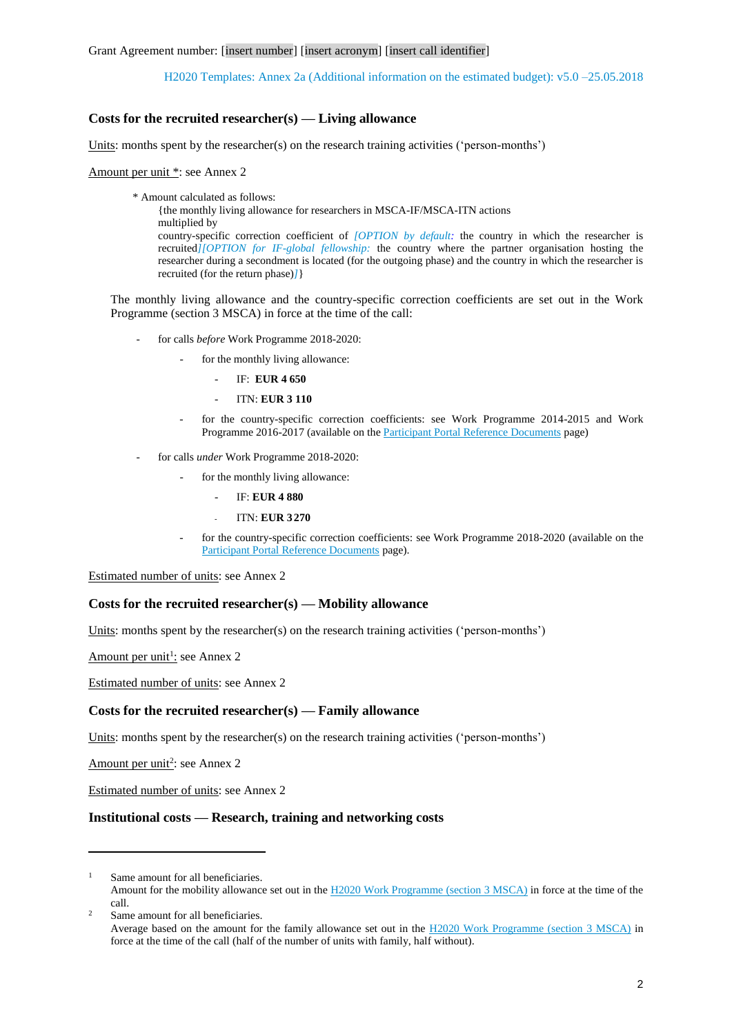## **Costs for the recruited researcher(s) — Living allowance**

Units: months spent by the researcher(s) on the research training activities ('person-months')

Amount per unit \*: see Annex 2

\* Amount calculated as follows:

{the monthly living allowance for researchers in MSCA-IF/MSCA-ITN actions multiplied by country-specific correction coefficient of *[OPTION by default:* the country in which the researcher is recruited*][OPTION for IF-global fellowship:* the country where the partner organisation hosting the researcher during a secondment is located (for the outgoing phase) and the country in which the researcher is

The monthly living allowance and the country-specific correction coefficients are set out in the Work Programme (section 3 MSCA) in force at the time of the call:

- for calls *before* Work Programme 2018-2020:

recruited (for the return phase)*]*}

- for the monthly living allowance:
	- IF: **EUR 4 650**
	- ITN: **EUR 3 110**
- for the country-specific correction coefficients: see Work Programme 2014-2015 and Work Programme 2016-2017 (available on the *Participant Portal Reference Documents* page)
- for calls *under* Work Programme 2018-2020:
	- for the monthly living allowance:
		- IF: **EUR 4 880**
		- ITN: **EUR 3 270**
	- for the country-specific correction coefficients: see Work Programme 2018-2020 (available on the [Participant Portal Reference Documents](http://ec.europa.eu/research/participants/portal/desktop/en/funding/reference_docs.html#h2020-work-programmes-2018-20) page).

Estimated number of units: see Annex 2

## **Costs for the recruited researcher(s) — Mobility allowance**

Units: months spent by the researcher(s) on the research training activities ('person-months')

Amount per unit<sup>1</sup>: see Annex 2

Estimated number of units: see Annex 2

### **Costs for the recruited researcher(s) — Family allowance**

Units: months spent by the researcher(s) on the research training activities ('person-months')

Amount per unit<sup>2</sup>: see Annex 2

1

Estimated number of units: see Annex 2

## **Institutional costs — Research, training and networking costs**

Same amount for all beneficiaries. Amount for the mobility allowance set out in the [H2020 Work Programme \(section 3](http://ec.europa.eu/research/participants/portal/desktop/en/funding/reference_docs.html) MSCA) in force at the time of the call.

<sup>&</sup>lt;sup>2</sup> Same amount for all beneficiaries. Average based on the amount for the family allowance set out in the [H2020 Work Programme \(section 3](http://ec.europa.eu/research/participants/portal/desktop/en/funding/reference_docs.html) MSCA) in force at the time of the call (half of the number of units with family, half without).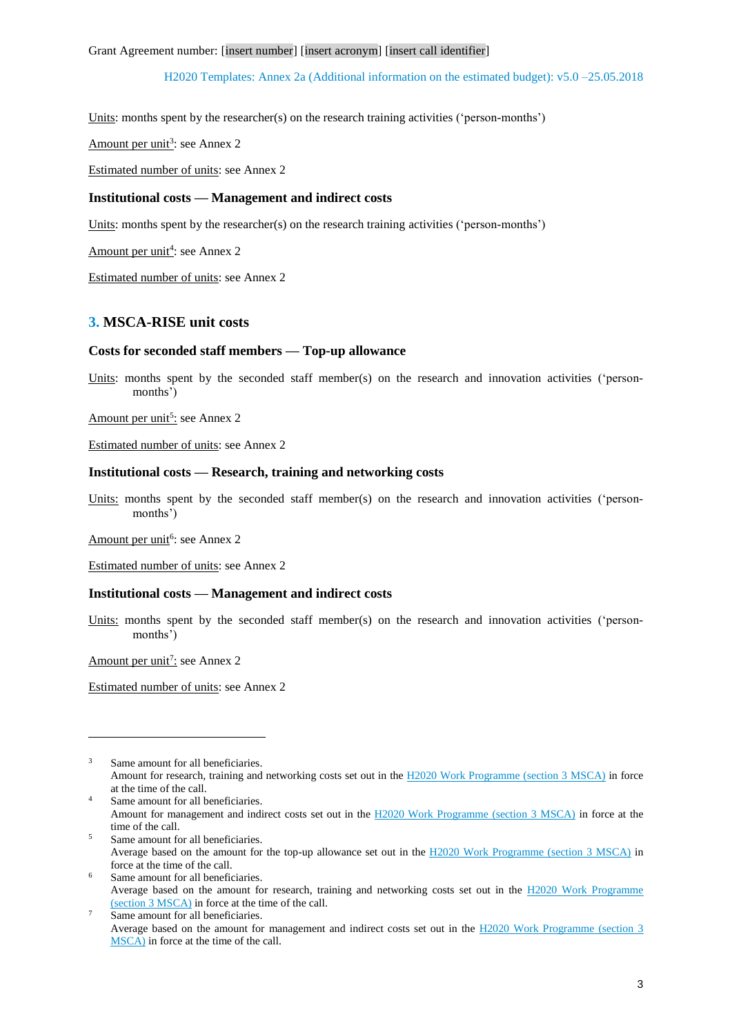Units: months spent by the researcher(s) on the research training activities ('person-months')

Amount per unit<sup>3</sup>: see Annex 2

Estimated number of units: see Annex 2

### **Institutional costs — Management and indirect costs**

Units: months spent by the researcher(s) on the research training activities ('person-months')

Amount per unit<sup>4</sup>: see Annex 2

Estimated number of units: see Annex 2

# **3. MSCA-RISE unit costs**

### **Costs for seconded staff members — Top-up allowance**

Units: months spent by the seconded staff member(s) on the research and innovation activities ('personmonths')

Amount per unit<sup>5</sup>: see Annex 2

Estimated number of units: see Annex 2

### **Institutional costs — Research, training and networking costs**

Units: months spent by the seconded staff member(s) on the research and innovation activities ('personmonths')

Amount per unit<sup>6</sup>: see Annex 2

Estimated number of units: see Annex 2

## **Institutional costs — Management and indirect costs**

Units: months spent by the seconded staff member(s) on the research and innovation activities ('personmonths')

Amount per unit<sup>7</sup>: see Annex 2

1

Estimated number of units: see Annex 2

- <sup>5</sup> Same amount for all beneficiaries. Average based on the amount for the top-up allowance set out in the [H2020 Work Programme \(section 3](http://ec.europa.eu/research/participants/portal/desktop/en/funding/reference_docs.html) MSCA) in force at the time of the call.
- Same amount for all beneficiaries. Average based on the amount for research, training and networking costs set out in the [H2020 Work Programme](http://ec.europa.eu/research/participants/portal/desktop/en/funding/reference_docs.html)  [\(section 3](http://ec.europa.eu/research/participants/portal/desktop/en/funding/reference_docs.html) MSCA) in force at the time of the call.
- Same amount for all beneficiaries. Average based on the amount for management and indirect costs set out in the [H2020 Work Programme \(section 3](http://ec.europa.eu/research/participants/portal/desktop/en/funding/reference_docs.html) [MSCA\)](http://ec.europa.eu/research/participants/portal/desktop/en/funding/reference_docs.html) in force at the time of the call.

<sup>&</sup>lt;sup>3</sup> Same amount for all beneficiaries. Amount for research, training and networking costs set out in the [H2020 Work Programme \(section 3](http://ec.europa.eu/research/participants/portal/desktop/en/funding/reference_docs.html) MSCA) in force at the time of the call.

<sup>&</sup>lt;sup>4</sup> Same amount for all beneficiaries. Amount for management and indirect costs set out in the [H2020 Work Programme \(section 3](http://ec.europa.eu/research/participants/portal/desktop/en/funding/reference_docs.html) MSCA) in force at the time of the call.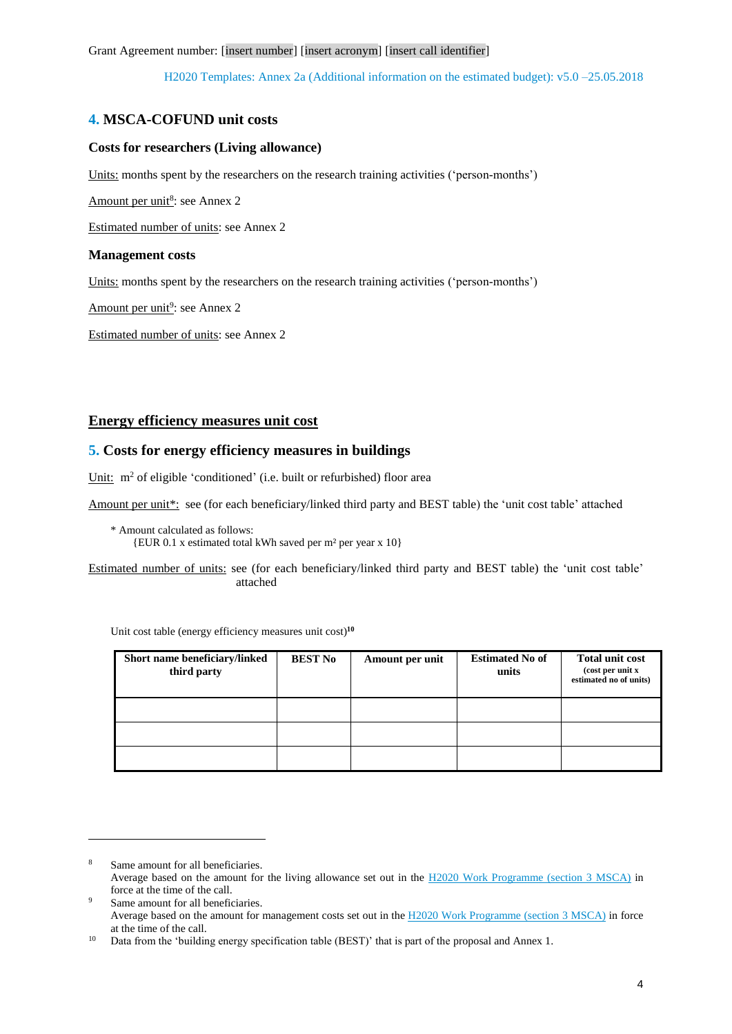# **4. MSCA-COFUND unit costs**

## **Costs for researchers (Living allowance)**

Units: months spent by the researchers on the research training activities ('person-months')

Amount per unit<sup>8</sup>: see Annex 2

Estimated number of units: see Annex 2

### **Management costs**

1

Units: months spent by the researchers on the research training activities ('person-months')

Amount per unit<sup>9</sup>: see Annex 2

Estimated number of units: see Annex 2

# **Energy efficiency measures unit cost**

# **5. Costs for energy efficiency measures in buildings**

Unit: m<sup>2</sup> of eligible 'conditioned' (i.e. built or refurbished) floor area

Amount per unit\*: see (for each beneficiary/linked third party and BEST table) the 'unit cost table' attached

\* Amount calculated as follows: {EUR 0.1 x estimated total kWh saved per m² per year x 10}

Estimated number of units: see (for each beneficiary/linked third party and BEST table) the 'unit cost table' attached

| Short name beneficiary/linked<br>third party | <b>BEST No</b> | Amount per unit | <b>Estimated No of</b><br>units | <b>Total unit cost</b><br>(cost per unit x<br>estimated no of units) |
|----------------------------------------------|----------------|-----------------|---------------------------------|----------------------------------------------------------------------|
|                                              |                |                 |                                 |                                                                      |
|                                              |                |                 |                                 |                                                                      |
|                                              |                |                 |                                 |                                                                      |

Unit cost table (energy efficiency measures unit cost) **10**

<sup>8</sup> Same amount for all beneficiaries. Average based on the amount for the living allowance set out in the [H2020 Work Programme \(section 3](http://ec.europa.eu/research/participants/portal/desktop/en/funding/reference_docs.html) MSCA) in force at the time of the call.

Same amount for all beneficiaries. Average based on the amount for management costs set out in the [H2020 Work Programme \(section 3](http://ec.europa.eu/research/participants/portal/desktop/en/funding/reference_docs.html) MSCA) in force at the time of the call.

<sup>&</sup>lt;sup>10</sup> Data from the 'building energy specification table (BEST)' that is part of the proposal and Annex 1.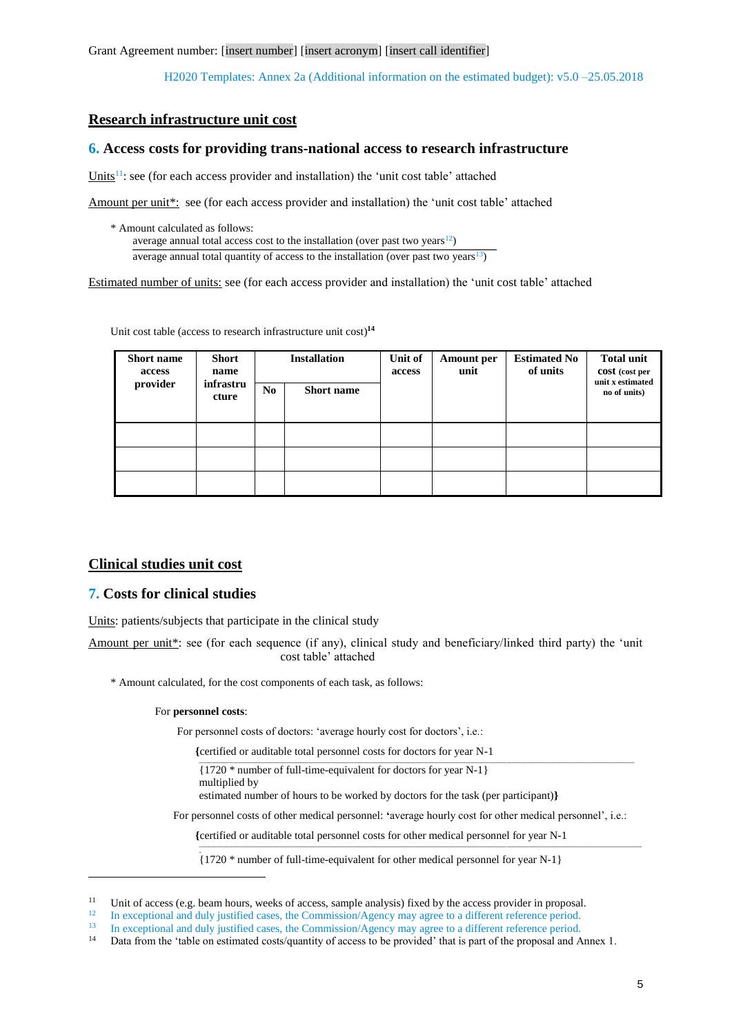Grant Agreement number: [insert number] [insert acronym] [insert call identifier]

H2020 Templates: Annex 2a (Additional information on the estimated budget): v5.0 –25.05.2018

# **Research infrastructure unit cost**

## **6. Access costs for providing trans-national access to research infrastructure**

Units<sup>11</sup>: see (for each access provider and installation) the 'unit cost table' attached

Amount per unit\*: see (for each access provider and installation) the 'unit cost table' attached

\* Amount calculated as follows: average annual total access cost to the installation (over past two years $12$ ) average annual total quantity of access to the installation (over past two years $13$ )

Estimated number of units: see (for each access provider and installation) the 'unit cost table' attached

Unit cost table (access to research infrastructure unit cost) **14**

| <b>Short name</b><br>access<br>provider | <b>Short</b><br>name<br>infrastru<br>cture | No. | <b>Installation</b><br><b>Short</b> name | Unit of<br>access | <b>Amount per</b><br>unit | <b>Estimated No</b><br>of units | <b>Total unit</b><br>cost (cost per<br>unit x estimated<br>no of units) |
|-----------------------------------------|--------------------------------------------|-----|------------------------------------------|-------------------|---------------------------|---------------------------------|-------------------------------------------------------------------------|
|                                         |                                            |     |                                          |                   |                           |                                 |                                                                         |
|                                         |                                            |     |                                          |                   |                           |                                 |                                                                         |
|                                         |                                            |     |                                          |                   |                           |                                 |                                                                         |

# **Clinical studies unit cost**

## **7. Costs for clinical studies**

Units: patients/subjects that participate in the clinical study

Amount per unit\*: see (for each sequence (if any), clinical study and beneficiary/linked third party) the 'unit cost table' attached

\* Amount calculated, for the cost components of each task, as follows:

### For **personnel costs**:

**\_**

1

For personnel costs of doctors: 'average hourly cost for doctors', i.e.:

| {certified or auditable total personnel costs for doctors for year N-1 |  |
|------------------------------------------------------------------------|--|
| $\{1720 *$ number of full-time-equivalent for doctors for year N-1}    |  |
| multiplied by                                                          |  |

**\_\_\_\_\_\_\_\_\_\_\_\_\_\_\_\_\_\_\_\_\_\_\_\_\_\_\_\_\_\_\_\_\_\_\_\_\_\_\_\_\_\_\_\_\_\_\_\_\_\_\_\_\_\_\_\_\_\_\_\_\_\_\_\_\_\_\_\_\_\_\_\_\_\_\_\_\_\_\_\_\_\_\_\_\_\_\_\_\_\_\_\_\_\_\_\_\_\_\_\_\_\_\_\_\_\_\_\_\_\_\_\_\_\_\_\_\_\_\_\_\_\_\_\_\_\_\_\_\_\_\_\_\_\_\_\_\_\_\_\_\_\_\_\_\_\_\_\_\_\_\_\_\_\_\_\_\_\_\_\_\_\_\_\_\_\_\_\_\_\_\_\_\_\_\_\_\_\_\_\_**

estimated number of hours to be worked by doctors for the task (per participant)**}**

For personnel costs of other medical personnel: **'**average hourly cost for other medical personnel', i.e.:

**{**certified or auditable total personnel costs for other medical personnel for year N-1

{1720 \* number of full-time-equivalent for other medical personnel for year N-1}

<sup>&</sup>lt;sup>11</sup> Unit of access (e.g. beam hours, weeks of access, sample analysis) fixed by the access provider in proposal.<br><sup>12</sup> In aggregational and duly justified agges, the Commission (Aggregation aggregate a different reference

<sup>&</sup>lt;sup>12</sup> In exceptional and duly justified cases, the Commission/Agency may agree to a different reference period.

<sup>&</sup>lt;sup>13</sup> In exceptional and duly justified cases, the Commission/Agency may agree to a different reference period.

Data from the 'table on estimated costs/quantity of access to be provided' that is part of the proposal and Annex 1.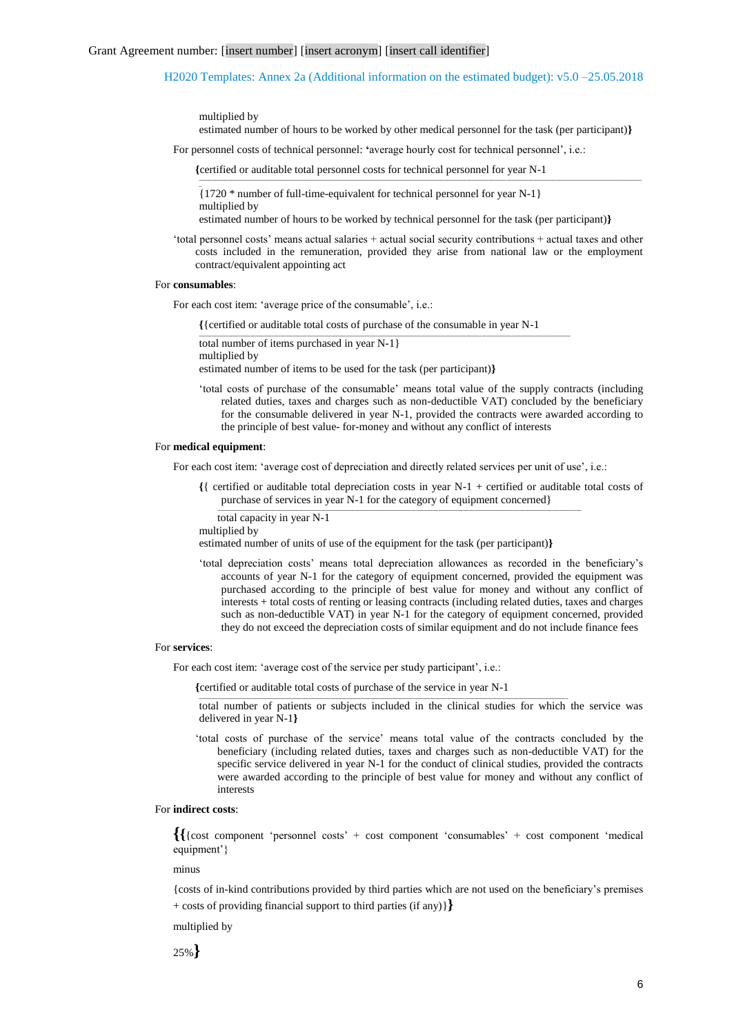```
multiplied by
```
estimated number of hours to be worked by other medical personnel for the task (per participant)**}**

**\_\_\_\_\_\_\_\_\_\_\_\_\_\_\_\_\_\_\_\_\_\_\_\_\_\_\_\_\_\_\_\_\_\_\_\_\_\_\_\_\_\_\_\_\_\_\_\_\_\_\_\_\_\_\_\_\_\_\_\_\_\_\_\_\_\_\_\_\_\_\_\_\_\_\_\_\_\_\_\_\_\_\_\_\_\_\_\_\_\_\_\_\_\_\_\_\_\_\_\_\_\_\_\_\_\_\_\_\_\_\_\_\_\_\_\_\_\_\_\_\_\_\_\_\_\_\_\_\_\_\_\_\_\_\_\_\_\_\_\_\_\_\_\_\_\_\_\_\_\_\_\_\_\_\_\_\_\_\_\_\_\_\_\_\_\_\_\_\_\_\_\_\_\_\_\_\_\_\_\_**

For personnel costs of technical personnel: **'**average hourly cost for technical personnel', i.e.:

**{**certified or auditable total personnel costs for technical personnel for year N-1

{1720 \* number of full-time-equivalent for technical personnel for year N-1} multiplied by

estimated number of hours to be worked by technical personnel for the task (per participant)**}**

'total personnel costs' means actual salaries + actual social security contributions + actual taxes and other costs included in the remuneration, provided they arise from national law or the employment contract/equivalent appointing act

#### For **consumables**:

**\_**

For each cost item: 'average price of the consumable', i.e.:

**{**{certified or auditable total costs of purchase of the consumable in year N-1

**\_\_\_\_\_\_\_\_\_\_\_\_\_\_\_\_\_\_\_\_\_\_\_\_\_\_\_\_\_\_\_\_\_\_\_\_\_\_\_\_\_\_\_\_\_\_\_\_\_\_\_\_\_\_\_\_\_\_\_\_\_\_\_\_\_\_\_\_\_\_\_\_\_\_\_\_\_\_\_\_\_\_\_\_\_\_\_\_\_\_\_\_\_\_\_\_\_\_\_\_\_\_\_\_\_\_\_\_\_\_\_\_\_\_\_\_\_\_\_\_\_\_\_\_\_\_\_\_\_\_\_\_\_\_\_\_\_\_\_\_\_\_\_\_\_\_\_\_\_\_\_**

total number of items purchased in year N-1} multiplied by

estimated number of items to be used for the task (per participant)**}**

'total costs of purchase of the consumable' means total value of the supply contracts (including related duties, taxes and charges such as non-deductible VAT) concluded by the beneficiary for the consumable delivered in year N-1, provided the contracts were awarded according to the principle of best value- for-money and without any conflict of interests

#### For **medical equipment**:

For each cost item: 'average cost of depreciation and directly related services per unit of use', i.e.:

**\_\_\_\_\_\_\_\_\_\_\_\_\_\_\_\_\_\_\_\_\_\_\_\_\_\_\_\_\_\_\_\_\_\_\_\_\_\_\_\_\_\_\_\_\_\_\_\_\_\_\_\_\_\_\_\_\_\_\_\_\_\_\_\_\_\_\_\_\_\_\_\_\_\_\_\_\_\_\_\_\_\_\_\_\_\_\_\_\_\_\_\_\_\_\_\_\_\_\_\_\_\_\_\_\_\_\_\_\_\_\_\_\_\_\_\_\_\_\_\_\_\_\_\_\_\_\_\_\_\_\_\_\_\_\_\_\_\_\_\_\_\_\_\_\_\_\_\_**

**{**{ certified or auditable total depreciation costs in year N-1 + certified or auditable total costs of purchase of services in year N-1 for the category of equipment concerned}

total capacity in year N-1 multiplied by

estimated number of units of use of the equipment for the task (per participant)**}**

'total depreciation costs' means total depreciation allowances as recorded in the beneficiary's accounts of year N-1 for the category of equipment concerned, provided the equipment was purchased according to the principle of best value for money and without any conflict of interests + total costs of renting or leasing contracts (including related duties, taxes and charges such as non-deductible VAT) in year N-1 for the category of equipment concerned, provided they do not exceed the depreciation costs of similar equipment and do not include finance fees

#### For **services**:

For each cost item: 'average cost of the service per study participant', i.e.:

**{**certified or auditable total costs of purchase of the service in year N-1

**\_\_\_\_\_\_\_\_\_\_\_\_\_\_\_\_\_\_\_\_\_\_\_\_\_\_\_\_\_\_\_\_\_\_\_\_\_\_\_\_\_\_\_\_\_\_\_\_\_\_\_\_\_\_\_\_\_\_\_\_\_\_\_\_\_\_\_\_\_\_\_\_\_\_\_\_\_\_\_\_\_\_\_\_\_\_\_\_\_\_\_\_\_\_\_\_\_\_\_\_\_\_\_\_\_\_\_\_\_\_\_\_\_\_\_\_\_\_\_\_\_\_\_\_\_\_\_\_\_\_\_\_\_\_\_\_\_\_\_\_\_\_\_\_\_\_\_\_\_\_**

total number of patients or subjects included in the clinical studies for which the service was delivered in year N-1**}**

'total costs of purchase of the service' means total value of the contracts concluded by the beneficiary (including related duties, taxes and charges such as non-deductible VAT) for the specific service delivered in year N-1 for the conduct of clinical studies, provided the contracts were awarded according to the principle of best value for money and without any conflict of interests

#### For **indirect costs**:

**{{**{cost component 'personnel costs' + cost component 'consumables' + cost component 'medical equipment'}

#### minus

{costs of in-kind contributions provided by third parties which are not used on the beneficiary's premises + costs of providing financial support to third parties (if any)}**}**

multiplied by

25%**}**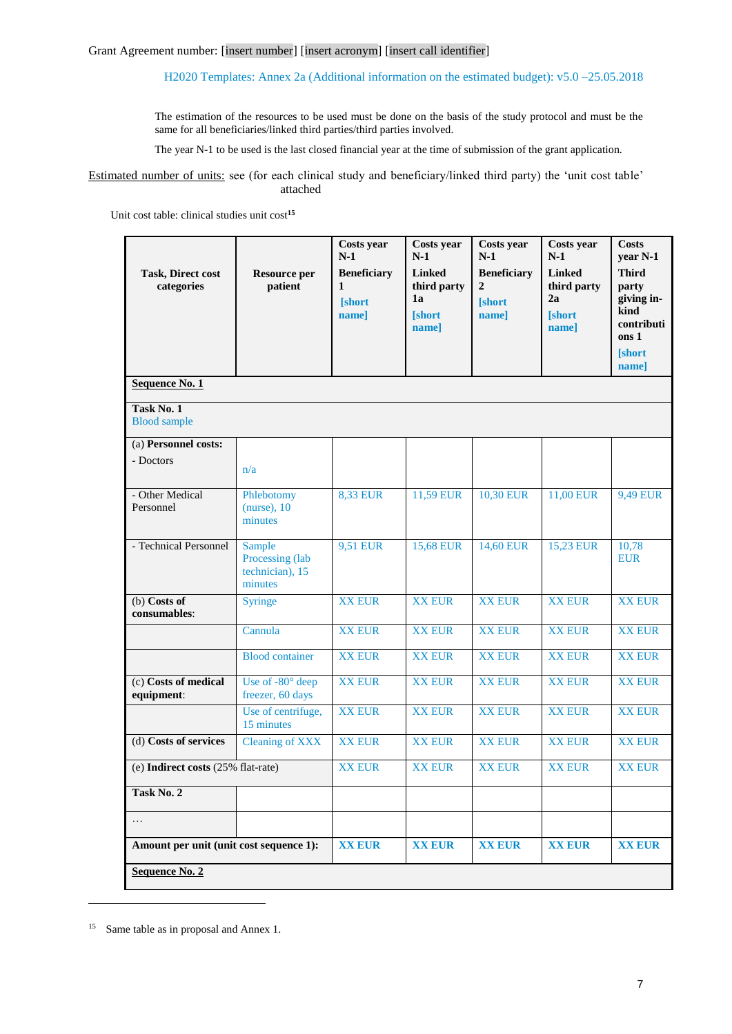The estimation of the resources to be used must be done on the basis of the study protocol and must be the same for all beneficiaries/linked third parties/third parties involved.

The year N-1 to be used is the last closed financial year at the time of submission of the grant application.

Estimated number of units: see (for each clinical study and beneficiary/linked third party) the 'unit cost table' attached

Unit cost table: clinical studies unit cost**<sup>15</sup>**

| <b>Task, Direct cost</b><br>categories  | <b>Resource per</b><br>patient                          | Costs year<br>$N-1$<br><b>Beneficiary</b><br>1<br><b>Short</b><br>name] | Costs year<br>$N-1$<br><b>Linked</b><br>third party<br>1a<br><b>Short</b><br>name] | Costs year<br>$N-1$<br><b>Beneficiary</b><br>$\overline{2}$<br><b>Short</b><br>namel | Costs year<br>$N-1$<br><b>Linked</b><br>third party<br>2a<br><b>Short</b><br>name] | <b>Costs</b><br>year N-1<br><b>Third</b><br>party<br>giving in-<br>kind<br>contributi<br>ons 1<br><b>Short</b><br>name] |
|-----------------------------------------|---------------------------------------------------------|-------------------------------------------------------------------------|------------------------------------------------------------------------------------|--------------------------------------------------------------------------------------|------------------------------------------------------------------------------------|-------------------------------------------------------------------------------------------------------------------------|
| <b>Sequence No. 1</b>                   |                                                         |                                                                         |                                                                                    |                                                                                      |                                                                                    |                                                                                                                         |
| Task No. 1<br><b>Blood</b> sample       |                                                         |                                                                         |                                                                                    |                                                                                      |                                                                                    |                                                                                                                         |
| (a) Personnel costs:<br>- Doctors       | n/a                                                     |                                                                         |                                                                                    |                                                                                      |                                                                                    |                                                                                                                         |
| - Other Medical<br>Personnel            | Phlebotomy<br>$(nurse)$ , 10<br>minutes                 | <b>8,33 EUR</b>                                                         | 11,59 EUR                                                                          | 10,30 EUR                                                                            | 11,00 EUR                                                                          | 9,49 EUR                                                                                                                |
| - Technical Personnel                   | Sample<br>Processing (lab<br>technician), 15<br>minutes | 9,51 EUR                                                                | <b>15,68 EUR</b>                                                                   | 14,60 EUR                                                                            | 15,23 EUR                                                                          | 10,78<br><b>EUR</b>                                                                                                     |
| $(b)$ Costs of<br>consumables:          | Syringe                                                 | <b>XX EUR</b>                                                           | <b>XX EUR</b>                                                                      | <b>XX EUR</b>                                                                        | <b>XX EUR</b>                                                                      | <b>XX EUR</b>                                                                                                           |
|                                         | Cannula                                                 | <b>XX EUR</b>                                                           | <b>XX EUR</b>                                                                      | <b>XX EUR</b>                                                                        | <b>XX EUR</b>                                                                      | <b>XX EUR</b>                                                                                                           |
|                                         | <b>Blood</b> container                                  | <b>XX EUR</b>                                                           | <b>XX EUR</b>                                                                      | <b>XX EUR</b>                                                                        | <b>XX EUR</b>                                                                      | <b>XX EUR</b>                                                                                                           |
| (c) Costs of medical<br>equipment:      | Use of -80° deep<br>freezer, 60 days                    | <b>XX EUR</b>                                                           | <b>XX EUR</b>                                                                      | <b>XX EUR</b>                                                                        | <b>XX EUR</b>                                                                      | <b>XX EUR</b>                                                                                                           |
|                                         | Use of centrifuge,<br>15 minutes                        | <b>XX EUR</b>                                                           | <b>XX EUR</b>                                                                      | <b>XX EUR</b>                                                                        | <b>XX EUR</b>                                                                      | <b>XX EUR</b>                                                                                                           |
| (d) Costs of services                   | <b>Cleaning of XXX</b>                                  | <b>XX EUR</b>                                                           | <b>XX EUR</b>                                                                      | <b>XX EUR</b>                                                                        | <b>XX EUR</b>                                                                      | <b>XX EUR</b>                                                                                                           |
| (e) Indirect costs (25% flat-rate)      |                                                         | <b>XX EUR</b>                                                           | <b>XX EUR</b>                                                                      | <b>XX EUR</b>                                                                        | <b>XX EUR</b>                                                                      | <b>XX EUR</b>                                                                                                           |
| Task No. 2                              |                                                         |                                                                         |                                                                                    |                                                                                      |                                                                                    |                                                                                                                         |
| $\ldots$                                |                                                         |                                                                         |                                                                                    |                                                                                      |                                                                                    |                                                                                                                         |
| Amount per unit (unit cost sequence 1): |                                                         | <b>XX EUR</b>                                                           | <b>XX EUR</b>                                                                      | <b>XX EUR</b>                                                                        | <b>XX EUR</b>                                                                      | <b>XX EUR</b>                                                                                                           |
| Sequence No. 2                          |                                                         |                                                                         |                                                                                    |                                                                                      |                                                                                    |                                                                                                                         |

<sup>&</sup>lt;sup>15</sup> Same table as in proposal and Annex 1.

1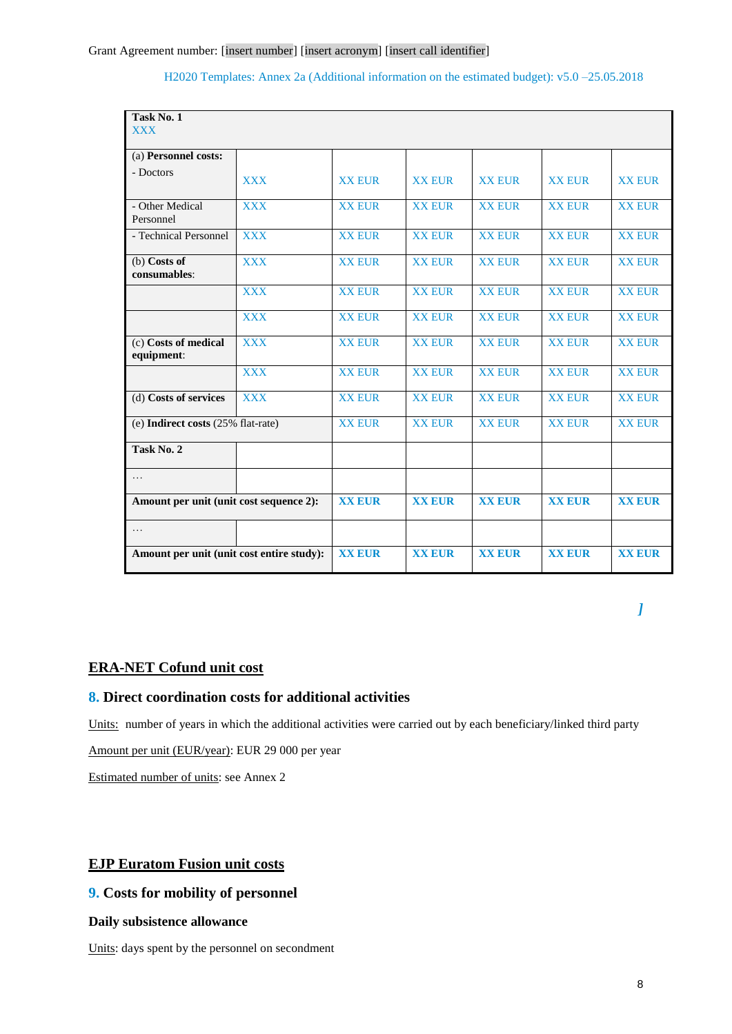| Task No. 1<br><b>XXX</b>                  |            |               |               |               |               |               |
|-------------------------------------------|------------|---------------|---------------|---------------|---------------|---------------|
| (a) Personnel costs:                      |            |               |               |               |               |               |
| - Doctors                                 | <b>XXX</b> | <b>XX EUR</b> | <b>XX EUR</b> | <b>XX EUR</b> | <b>XX EUR</b> | <b>XX EUR</b> |
| - Other Medical<br>Personnel              | <b>XXX</b> | <b>XX EUR</b> | <b>XX EUR</b> | <b>XX EUR</b> | <b>XX EUR</b> | <b>XX EUR</b> |
| - Technical Personnel                     | <b>XXX</b> | <b>XX EUR</b> | <b>XX EUR</b> | <b>XX EUR</b> | <b>XX EUR</b> | <b>XX EUR</b> |
| $(b)$ Costs of<br>consumables:            | <b>XXX</b> | <b>XX EUR</b> | <b>XX EUR</b> | <b>XX EUR</b> | <b>XX EUR</b> | <b>XX EUR</b> |
|                                           | <b>XXX</b> | <b>XX EUR</b> | <b>XX EUR</b> | <b>XX EUR</b> | <b>XX EUR</b> | <b>XX EUR</b> |
|                                           | <b>XXX</b> | <b>XX EUR</b> | <b>XX EUR</b> | <b>XX EUR</b> | <b>XX EUR</b> | <b>XX EUR</b> |
| (c) Costs of medical<br>equipment:        | <b>XXX</b> | <b>XX EUR</b> | <b>XX EUR</b> | <b>XX EUR</b> | <b>XX EUR</b> | <b>XX EUR</b> |
|                                           | <b>XXX</b> | <b>XX EUR</b> | <b>XX EUR</b> | <b>XX EUR</b> | <b>XX EUR</b> | <b>XX EUR</b> |
| (d) Costs of services                     | <b>XXX</b> | <b>XX EUR</b> | <b>XX EUR</b> | <b>XX EUR</b> | <b>XX EUR</b> | <b>XX EUR</b> |
| (e) Indirect costs (25% flat-rate)        |            | <b>XX EUR</b> | <b>XX EUR</b> | <b>XX EUR</b> | <b>XX EUR</b> | <b>XX EUR</b> |
| Task No. 2                                |            |               |               |               |               |               |
| $\cdots$                                  |            |               |               |               |               |               |
| Amount per unit (unit cost sequence 2):   |            | <b>XX EUR</b> | <b>XX EUR</b> | <b>XX EUR</b> | <b>XX EUR</b> | <b>XX EUR</b> |
| $\cdots$                                  |            |               |               |               |               |               |
| Amount per unit (unit cost entire study): |            | <b>XX EUR</b> | <b>XX EUR</b> | <b>XX EUR</b> | <b>XX EUR</b> | <b>XX EUR</b> |

*]*

# **ERA-NET Cofund unit cost**

# **8. Direct coordination costs for additional activities**

Units: number of years in which the additional activities were carried out by each beneficiary/linked third party

Amount per unit (EUR/year): EUR 29 000 per year

Estimated number of units: see Annex 2

# **EJP Euratom Fusion unit costs**

# **9. Costs for mobility of personnel**

# **Daily subsistence allowance**

Units: days spent by the personnel on secondment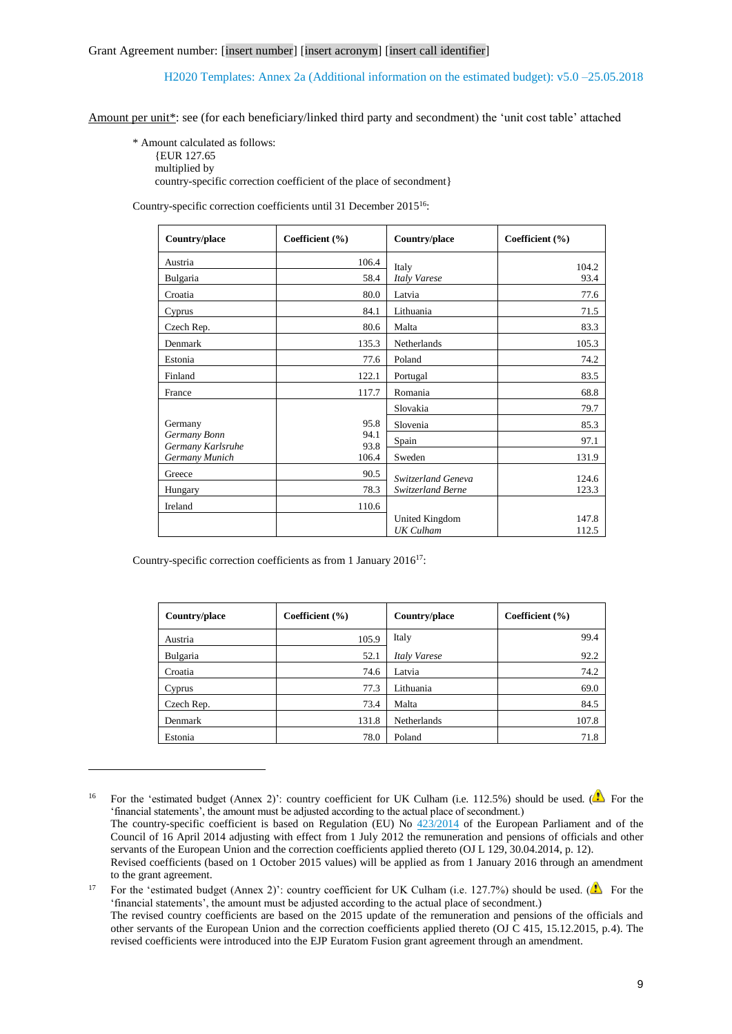Amount per unit\*: see (for each beneficiary/linked third party and secondment) the 'unit cost table' attached

\* Amount calculated as follows: {EUR 127.65

multiplied by

1

country-specific correction coefficient of the place of secondment}

Country-specific correction coefficients until 31 December 2015<sup>16</sup>:

| Country/place                     | Coefficient (%) | Country/place                      | Coefficient $(\% )$ |
|-----------------------------------|-----------------|------------------------------------|---------------------|
| Austria                           | 106.4           | Italy                              | 104.2               |
| Bulgaria                          | 58.4            | Italy Varese                       | 93.4                |
| Croatia                           | 80.0            | Latvia                             | 77.6                |
| Cyprus                            | 84.1            | Lithuania                          | 71.5                |
| Czech Rep.                        | 80.6            | Malta                              | 83.3                |
| Denmark                           | 135.3           | Netherlands                        | 105.3               |
| Estonia                           | 77.6            | Poland                             | 74.2                |
| Finland                           | 122.1           | Portugal                           | 83.5                |
| France                            | 117.7           | Romania                            | 68.8                |
|                                   |                 | Slovakia                           | 79.7                |
| Germany                           | 95.8            | Slovenia                           | 85.3                |
| Germany Bonn<br>Germany Karlsruhe | 94.1<br>93.8    | Spain                              | 97.1                |
| Germany Munich                    | 106.4           | Sweden                             | 131.9               |
| Greece                            | 90.5            | Switzerland Geneva                 | 124.6               |
| Hungary                           | 78.3            | Switzerland Berne                  | 123.3               |
| Ireland                           | 110.6           |                                    |                     |
|                                   |                 | United Kingdom<br><b>UK</b> Culham | 147.8<br>112.5      |

Country-specific correction coefficients as from 1 January 2016<sup>17</sup>:

| Country/place | Coefficient $(\% )$ | Country/place | Coefficient $(\% )$ |
|---------------|---------------------|---------------|---------------------|
| Austria       | 105.9               | Italy         | 99.4                |
| Bulgaria      | 52.1                | Italy Varese  | 92.2                |
| Croatia       | 74.6                | Latvia        | 74.2                |
| Cyprus        | 77.3                | Lithuania     | 69.0                |
| Czech Rep.    | 73.4                | Malta         | 84.5                |
| Denmark       | 131.8               | Netherlands   | 107.8               |
| Estonia       | 78.0                | Poland        | 71.8                |

<sup>&</sup>lt;sup>16</sup> For the 'estimated budget (Annex 2)': country coefficient for UK Culham (i.e. 112.5%) should be used. ( $\triangle$  For the 'financial statements', the amount must be adjusted according to the actual place of secondment.) The country-specific coefficient is based on Regulation (EU) No [423/2014](http://eur-lex.europa.eu/legal-content/EN/TXT/?uri=uriserv:OJ.L_.2014.129.01.0012.01.ENG) of the European Parliament and of the Council of 16 April 2014 adjusting with effect from 1 July 2012 the remuneration and pensions of officials and other servants of the European Union and the correction coefficients applied thereto (OJ L 129, 30.04.2014, p. 12). Revised coefficients (based on 1 October 2015 values) will be applied as from 1 January 2016 through an amendment to the grant agreement.

<sup>17</sup> For the 'estimated budget (Annex 2)': country coefficient for UK Culham (i.e. 127.7%) should be used. ( $\triangle$  For the 'financial statements', the amount must be adjusted according to the actual place of secondment.) The revised country coefficients are based on the 2015 update of the remuneration and pensions of the officials and other servants of the European Union and the correction coefficients applied thereto (OJ C 415, 15.12.2015, p.4). The revised coefficients were introduced into the EJP Euratom Fusion grant agreement through an amendment.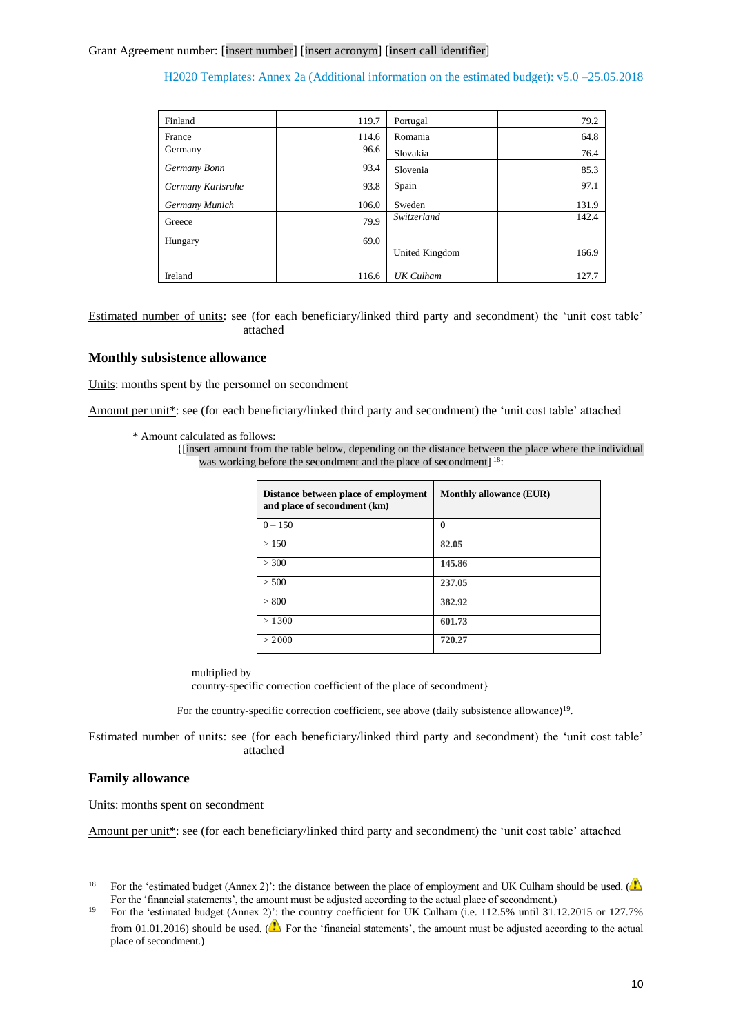| Finland           | 119.7 | Portugal       | 79.2  |
|-------------------|-------|----------------|-------|
| France            | 114.6 | Romania        | 64.8  |
| Germany           | 96.6  | Slovakia       | 76.4  |
| Germany Bonn      | 93.4  | Slovenia       | 85.3  |
| Germany Karlsruhe | 93.8  | Spain          | 97.1  |
| Germany Munich    | 106.0 | Sweden         | 131.9 |
| Greece            | 79.9  | Switzerland    | 142.4 |
| Hungary           | 69.0  |                |       |
|                   |       | United Kingdom | 166.9 |
| Ireland           | 116.6 | UK Culham      | 127.7 |

Estimated number of units: see (for each beneficiary/linked third party and secondment) the 'unit cost table' attached

### **Monthly subsistence allowance**

Units: months spent by the personnel on secondment

Amount per unit\*: see (for each beneficiary/linked third party and secondment) the 'unit cost table' attached

<sup>{[</sup>insert amount from the table below, depending on the distance between the place where the individual was working before the secondment and the place of secondment]<sup>18</sup>:

| Distance between place of employment<br>and place of secondment (km) | <b>Monthly allowance (EUR)</b> |
|----------------------------------------------------------------------|--------------------------------|
| $0 - 150$                                                            | 0                              |
| >150                                                                 | 82.05                          |
| > 300                                                                | 145.86                         |
| > 500                                                                | 237.05                         |
| > 800                                                                | 382.92                         |
| >1300                                                                | 601.73                         |
| > 2000                                                               | 720.27                         |

multiplied by

country-specific correction coefficient of the place of secondment}

For the country-specific correction coefficient, see above (daily subsistence allowance)<sup>19</sup>.

Estimated number of units: see (for each beneficiary/linked third party and secondment) the 'unit cost table' attached

## **Family allowance**

1

Units: months spent on secondment

Amount per unit\*: see (for each beneficiary/linked third party and secondment) the 'unit cost table' attached

<sup>\*</sup> Amount calculated as follows:

<sup>&</sup>lt;sup>18</sup> For the 'estimated budget (Annex 2)': the distance between the place of employment and UK Culham should be used. ( $\Omega$ For the 'financial statements', the amount must be adjusted according to the actual place of secondment.)

<sup>&</sup>lt;sup>19</sup> For the 'estimated budget (Annex 2)': the country coefficient for UK Culham (i.e. 112.5% until 31.12.2015 or 127.7% from 01.01.2016) should be used. ( $\triangle$  For the 'financial statements', the amount must be adjusted according to the actual place of secondment.)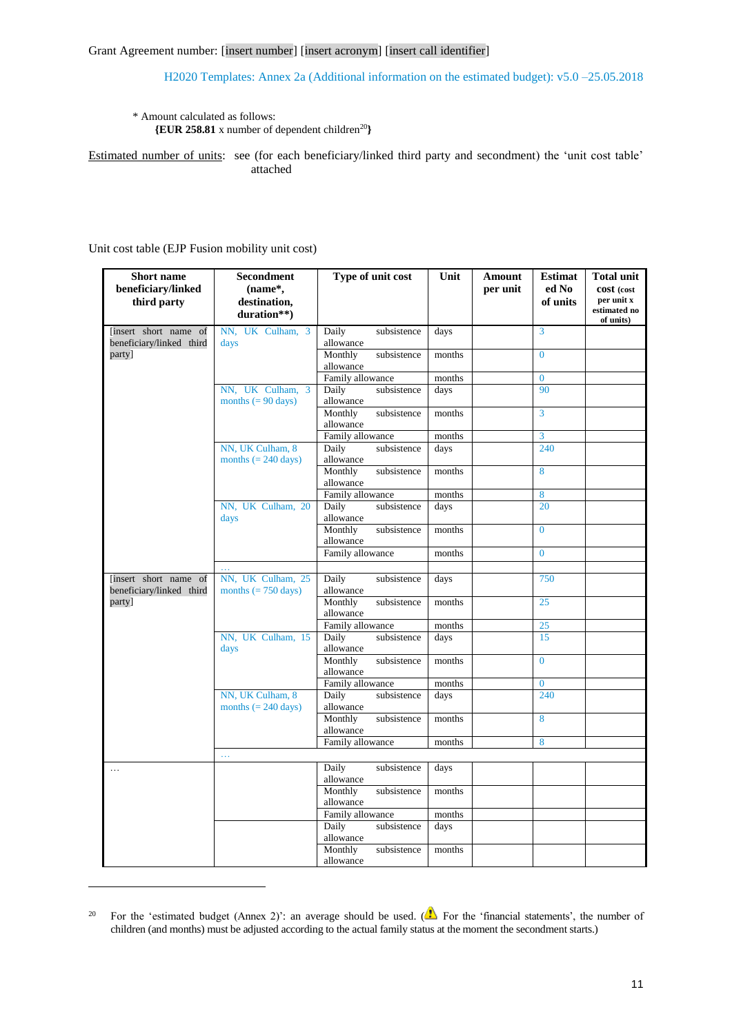### \* Amount calculated as follows:

**{EUR 258.81** x number of dependent children<sup>20</sup>**}**

Estimated number of units: see (for each beneficiary/linked third party and secondment) the 'unit cost table' attached

## Unit cost table (EJP Fusion mobility unit cost)

1

| <b>Short name</b><br>beneficiary/linked           | Secondment<br>(name*,                              | Type of unit cost                   | Unit   | Amount<br>per unit | <b>Estimat</b><br>ed No | <b>Total unit</b><br>cost (cost         |
|---------------------------------------------------|----------------------------------------------------|-------------------------------------|--------|--------------------|-------------------------|-----------------------------------------|
| third party                                       | destination,<br>duration**)                        |                                     |        |                    | of units                | per unit x<br>estimated no<br>of units) |
| linsert short name of<br>beneficiary/linked third | NN, UK Culham, 3<br>days                           | Daily<br>subsistence<br>allowance   | days   |                    | 3                       |                                         |
| party]                                            |                                                    | Monthly<br>subsistence<br>allowance | months |                    | $\theta$                |                                         |
|                                                   |                                                    | Family allowance                    | months |                    | $\overline{0}$          |                                         |
|                                                   | NN, UK Culham, 3<br>months $(= 90 \text{ days})$   | Daily<br>subsistence<br>allowance   | days   |                    | 90                      |                                         |
|                                                   |                                                    | Monthly<br>subsistence<br>allowance | months |                    | $\overline{3}$          |                                         |
|                                                   |                                                    | Family allowance                    | months |                    | 3                       |                                         |
|                                                   | NN, UK Culham, 8<br>months $(= 240 \text{ days})$  | Daily<br>subsistence<br>allowance   | days   |                    | 240                     |                                         |
|                                                   |                                                    | Monthly<br>subsistence<br>allowance | months |                    | 8                       |                                         |
|                                                   |                                                    | Family allowance                    | months |                    | 8                       |                                         |
|                                                   | NN, UK Culham, 20<br>days                          | Daily<br>subsistence<br>allowance   | days   |                    | 20                      |                                         |
|                                                   |                                                    | Monthly<br>subsistence<br>allowance | months |                    | $\overline{0}$          |                                         |
|                                                   |                                                    | Family allowance                    | months |                    | $\overline{0}$          |                                         |
|                                                   | .                                                  |                                     |        |                    |                         |                                         |
| [insert short name of<br>beneficiary/linked third | NN, UK Culham, 25<br>months $(= 750 \text{ days})$ | Daily<br>subsistence<br>allowance   | days   |                    | 750                     |                                         |
| party]                                            |                                                    | Monthly<br>subsistence<br>allowance | months |                    | 25                      |                                         |
|                                                   |                                                    | Family allowance                    | months |                    | 25                      |                                         |
|                                                   | NN, UK Culham, 15<br>days                          | Daily<br>subsistence<br>allowance   | days   |                    | 15                      |                                         |
|                                                   |                                                    | Monthly<br>subsistence<br>allowance | months |                    | $\overline{0}$          |                                         |
|                                                   |                                                    | Family allowance                    | months |                    | $\overline{0}$          |                                         |
|                                                   | NN, UK Culham, 8<br>months $(= 240 \text{ days})$  | Daily<br>subsistence<br>allowance   | days   |                    | 240                     |                                         |
|                                                   |                                                    | subsistence<br>Monthly<br>allowance | months |                    | 8                       |                                         |
|                                                   |                                                    | Family allowance                    | months |                    | 8                       |                                         |
|                                                   | $\ldots$                                           |                                     |        |                    |                         |                                         |
| .                                                 |                                                    | Daily<br>subsistence<br>allowance   | days   |                    |                         |                                         |
|                                                   |                                                    | Monthly<br>subsistence<br>allowance | months |                    |                         |                                         |
|                                                   |                                                    | Family allowance                    | months |                    |                         |                                         |
|                                                   |                                                    | Daily<br>subsistence<br>allowance   | days   |                    |                         |                                         |
|                                                   |                                                    | Monthly<br>subsistence<br>allowance | months |                    |                         |                                         |

<sup>&</sup>lt;sup>20</sup> For the 'estimated budget (Annex 2)': an average should be used. ( $\bigwedge$  For the 'financial statements', the number of children (and months) must be adjusted according to the actual family status at the moment the secondment starts.)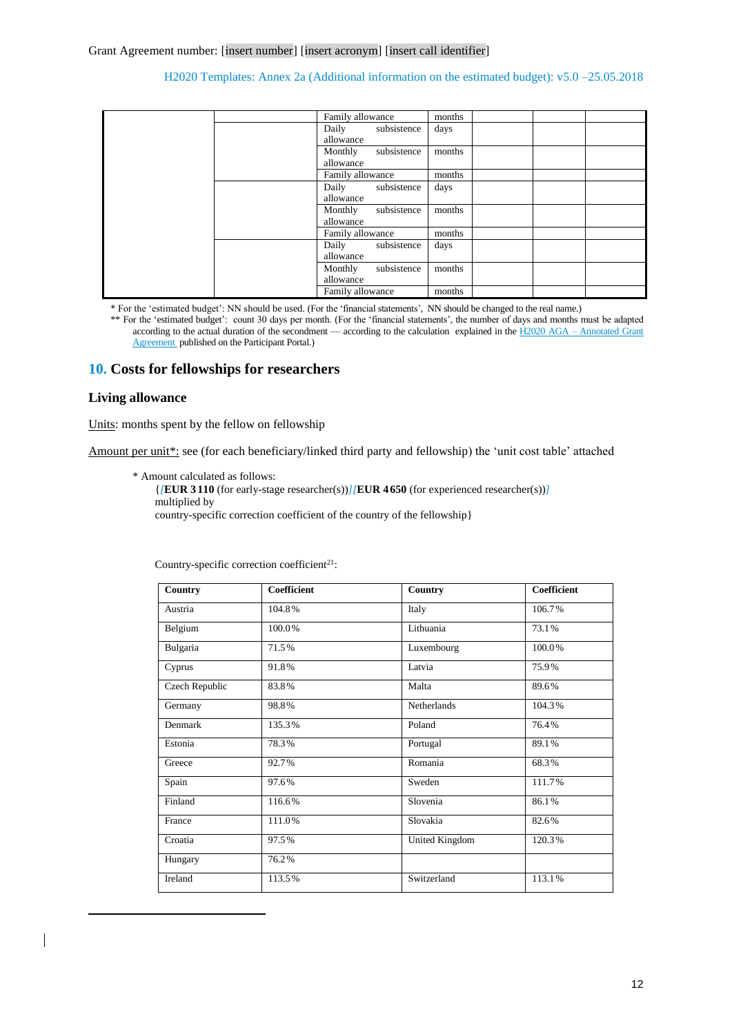|  |  | Family allowance                    | months |  |  |
|--|--|-------------------------------------|--------|--|--|
|  |  | Daily<br>subsistence<br>allowance   | days   |  |  |
|  |  | subsistence<br>Monthly<br>allowance | months |  |  |
|  |  | Family allowance                    | months |  |  |
|  |  | Daily subsistence<br>allowance      | days   |  |  |
|  |  | subsistence<br>Monthly<br>allowance | months |  |  |
|  |  | Family allowance                    | months |  |  |
|  |  | Daily subsistence<br>allowance      | days   |  |  |
|  |  | subsistence<br>Monthly<br>allowance | months |  |  |
|  |  | Family allowance                    | months |  |  |

\* For the 'estimated budget': NN should be used. (For the 'financial statements', NN should be changed to the real name.)

\*\* For the 'estimated budget': count 30 days per month. (For the 'financial statements', the number of days and months must be adapted according to the actual duration of the secondment — according to the calculation explained in the H2020 AGA – Annotated Grant [Agreement p](http://ec.europa.eu/research/participants/data/ref/h2020/grants_manual/amga/h2020-amga_en.pdf)ublished on the Participant Portal.)

# **10. Costs for fellowships for researchers**

## **Living allowance**

1

Units: months spent by the fellow on fellowship

Amount per unit\*: see (for each beneficiary/linked third party and fellowship) the 'unit cost table' attached

\* Amount calculated as follows:

{*[***EUR 3 110** (for early-stage researcher(s))*][***EUR 4 650** (for experienced researcher(s))*]* multiplied by country-specific correction coefficient of the country of the fellowship}

| Country        | Coefficient | Country        | <b>Coefficient</b> |
|----------------|-------------|----------------|--------------------|
| Austria        | 104.8%      | Italy          | 106.7%             |
| Belgium        | 100.0%      | Lithuania      | 73.1%              |
| Bulgaria       | 71.5%       | Luxembourg     | 100.0%             |
| Cyprus         | 91.8%       | Latvia         | 75.9%              |
| Czech Republic | 83.8%       | Malta          | 89.6%              |
| Germany        | 98.8%       | Netherlands    | 104.3%             |
| Denmark        | 135.3%      | Poland         | 76.4%              |
| Estonia        | 78.3%       | Portugal       | 89.1%              |
| Greece         | 92.7%       | Romania        | 68.3%              |
| Spain          | 97.6%       | Sweden         | 111.7%             |
| Finland        | 116.6%      | Slovenia       | 86.1%              |
| France         | 111.0%      | Slovakia       | 82.6%              |
| Croatia        | 97.5%       | United Kingdom | 120.3%             |
| Hungary        | 76.2%       |                |                    |
| Ireland        | 113.5%      | Switzerland    | 113.1%             |

Country-specific correction coefficient $2^1$ :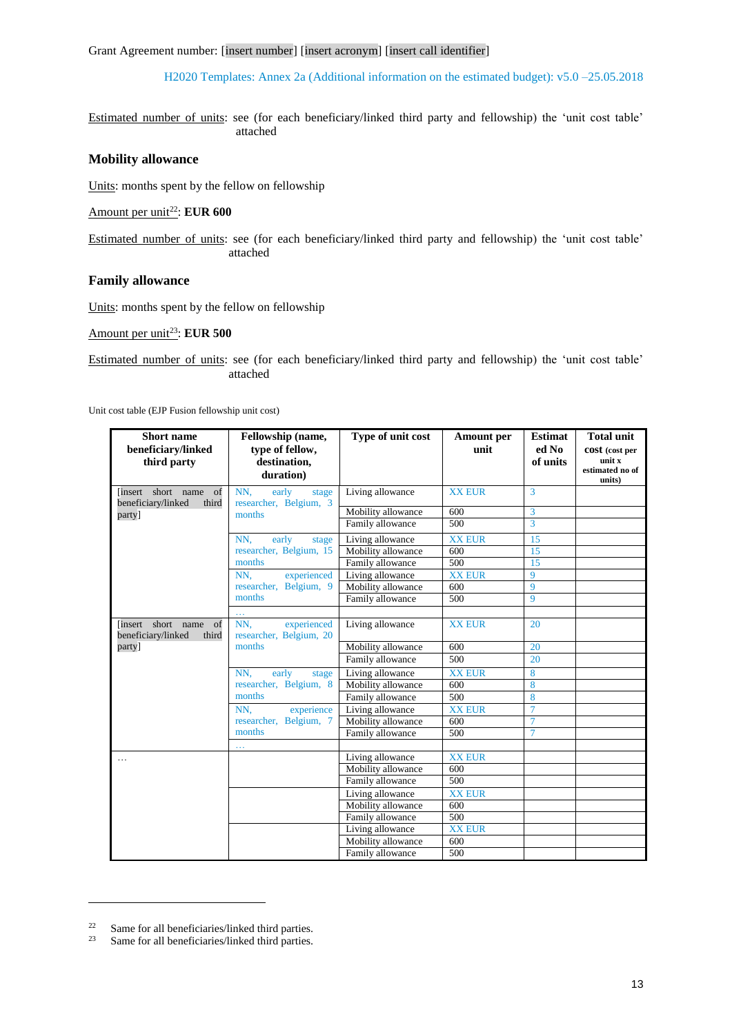Grant Agreement number: [insert number] [insert acronym] [insert call identifier]

H2020 Templates: Annex 2a (Additional information on the estimated budget): v5.0 –25.05.2018

Estimated number of units: see (for each beneficiary/linked third party and fellowship) the 'unit cost table' attached

# **Mobility allowance**

Units: months spent by the fellow on fellowship

Amount per unit<sup>22</sup>: **EUR 600** 

Estimated number of units: see (for each beneficiary/linked third party and fellowship) the 'unit cost table' attached

# **Family allowance**

Units: months spent by the fellow on fellowship

Amount per unit<sup>23</sup>: **EUR 500** 

Estimated number of units: see (for each beneficiary/linked third party and fellowship) the 'unit cost table' attached

Unit cost table (EJP Fusion fellowship unit cost)

| <b>Short name</b><br>beneficiary/linked<br>third party  | Fellowship (name,<br>type of fellow,<br>destination,<br>duration) | Type of unit cost  | <b>Amount</b> per<br>unit | <b>Estimat</b><br>ed No<br>of units | <b>Total unit</b><br>cost (cost per<br>unit x<br>estimated no of<br>units) |
|---------------------------------------------------------|-------------------------------------------------------------------|--------------------|---------------------------|-------------------------------------|----------------------------------------------------------------------------|
| of<br>linsert short name<br>beneficiary/linked<br>third | NN.<br>early<br>stage<br>researcher, Belgium, 3                   | Living allowance   | <b>XX EUR</b>             | 3                                   |                                                                            |
| party]                                                  | months                                                            | Mobility allowance | 600                       | 3                                   |                                                                            |
|                                                         |                                                                   | Family allowance   | 500                       | $\overline{3}$                      |                                                                            |
|                                                         | early<br>NN.<br>stage                                             | Living allowance   | <b>XX EUR</b>             | 15                                  |                                                                            |
|                                                         | researcher, Belgium, 15                                           | Mobility allowance | 600                       | 15                                  |                                                                            |
|                                                         | months                                                            | Family allowance   | 500                       | 15                                  |                                                                            |
|                                                         | experienced<br>NN.                                                | Living allowance   | <b>XX EUR</b>             | 9                                   |                                                                            |
|                                                         | researcher, Belgium, 9                                            | Mobility allowance | 600                       | 9                                   |                                                                            |
|                                                         | months                                                            | Family allowance   | 500                       | 9                                   |                                                                            |
|                                                         | 222                                                               |                    |                           |                                     |                                                                            |
| linsert short name<br>of<br>beneficiary/linked<br>third | NN.<br>experienced<br>researcher, Belgium, 20                     | Living allowance   | <b>XX EUR</b>             | 20                                  |                                                                            |
| party]                                                  | months                                                            | Mobility allowance | 600                       | 20                                  |                                                                            |
|                                                         |                                                                   | Family allowance   | 500                       | 20                                  |                                                                            |
|                                                         | early<br>NN.<br>stage                                             | Living allowance   | <b>XX EUR</b>             | 8                                   |                                                                            |
|                                                         | researcher, Belgium, 8                                            | Mobility allowance | 600                       | 8                                   |                                                                            |
|                                                         | months                                                            | Family allowance   | 500                       | 8                                   |                                                                            |
|                                                         | experience<br>NN.                                                 | Living allowance   | <b>XX EUR</b>             | 7                                   |                                                                            |
|                                                         | researcher, Belgium, 7                                            | Mobility allowance | 600                       | $\overline{7}$                      |                                                                            |
|                                                         | months                                                            | Family allowance   | 500                       | $\overline{7}$                      |                                                                            |
|                                                         | .                                                                 |                    |                           |                                     |                                                                            |
| .                                                       |                                                                   | Living allowance   | <b>XX EUR</b>             |                                     |                                                                            |
|                                                         |                                                                   | Mobility allowance | 600                       |                                     |                                                                            |
|                                                         |                                                                   | Family allowance   | 500                       |                                     |                                                                            |
|                                                         |                                                                   | Living allowance   | <b>XX EUR</b>             |                                     |                                                                            |
|                                                         |                                                                   | Mobility allowance | 600                       |                                     |                                                                            |
|                                                         |                                                                   | Family allowance   | 500                       |                                     |                                                                            |
|                                                         |                                                                   | Living allowance   | <b>XX EUR</b>             |                                     |                                                                            |
|                                                         |                                                                   | Mobility allowance | 600                       |                                     |                                                                            |
|                                                         |                                                                   | Family allowance   | 500                       |                                     |                                                                            |

1

<sup>&</sup>lt;sup>22</sup> Same for all beneficiaries/linked third parties.<br>Same for all beneficiaries/linked third parties

Same for all beneficiaries/linked third parties.